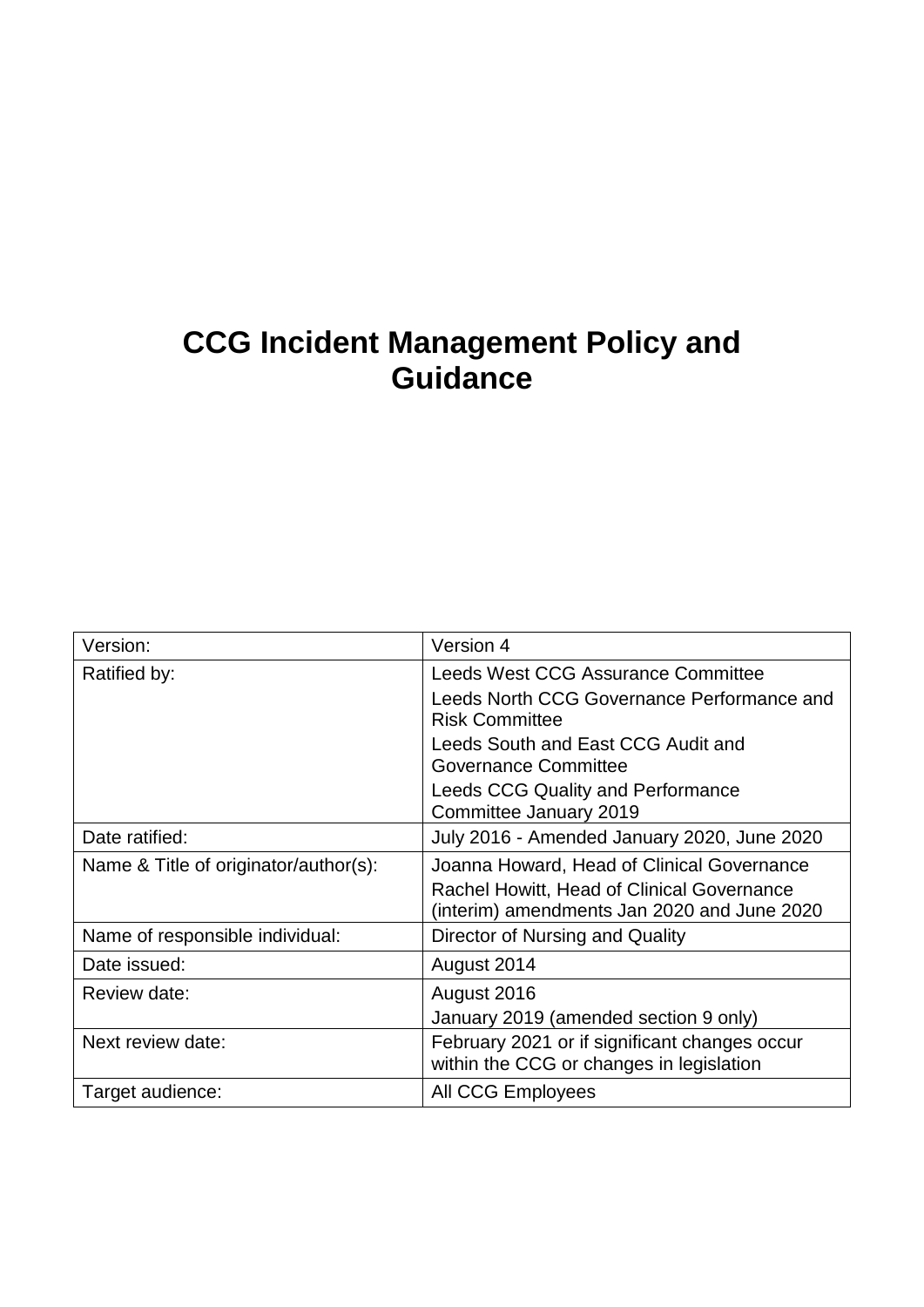# **CCG Incident Management Policy and Guidance**

| Version:                              | Version 4                                                                                 |
|---------------------------------------|-------------------------------------------------------------------------------------------|
| Ratified by:                          | Leeds West CCG Assurance Committee                                                        |
|                                       | Leeds North CCG Governance Performance and<br><b>Risk Committee</b>                       |
|                                       | Leeds South and East CCG Audit and<br>Governance Committee                                |
|                                       | <b>Leeds CCG Quality and Performance</b><br>Committee January 2019                        |
| Date ratified:                        | July 2016 - Amended January 2020, June 2020                                               |
| Name & Title of originator/author(s): | Joanna Howard, Head of Clinical Governance                                                |
|                                       | Rachel Howitt, Head of Clinical Governance<br>(interim) amendments Jan 2020 and June 2020 |
| Name of responsible individual:       | Director of Nursing and Quality                                                           |
| Date issued:                          | August 2014                                                                               |
| Review date:                          | August 2016                                                                               |
|                                       | January 2019 (amended section 9 only)                                                     |
| Next review date:                     | February 2021 or if significant changes occur<br>within the CCG or changes in legislation |
| Target audience:                      | All CCG Employees                                                                         |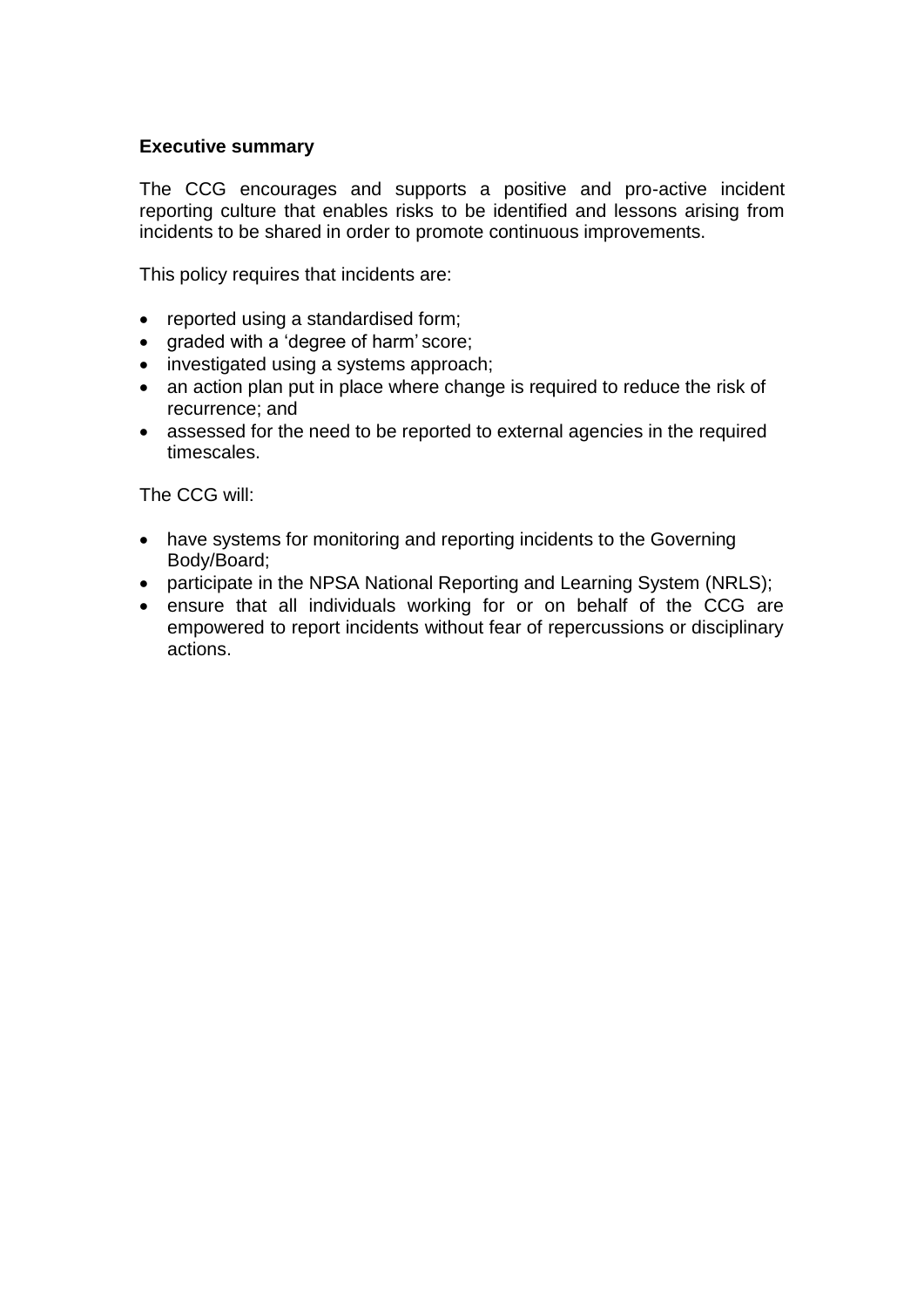#### **Executive summary**

The CCG encourages and supports a positive and pro-active incident reporting culture that enables risks to be identified and lessons arising from incidents to be shared in order to promote continuous improvements.

This policy requires that incidents are:

- reported using a standardised form;
- graded with a 'degree of harm' score;
- investigated using a systems approach;
- an action plan put in place where change is required to reduce the risk of recurrence; and
- assessed for the need to be reported to external agencies in the required timescales.

The CCG will:

- have systems for monitoring and reporting incidents to the Governing Body/Board;
- participate in the NPSA National Reporting and Learning System (NRLS);
- ensure that all individuals working for or on behalf of the CCG are empowered to report incidents without fear of repercussions or disciplinary actions.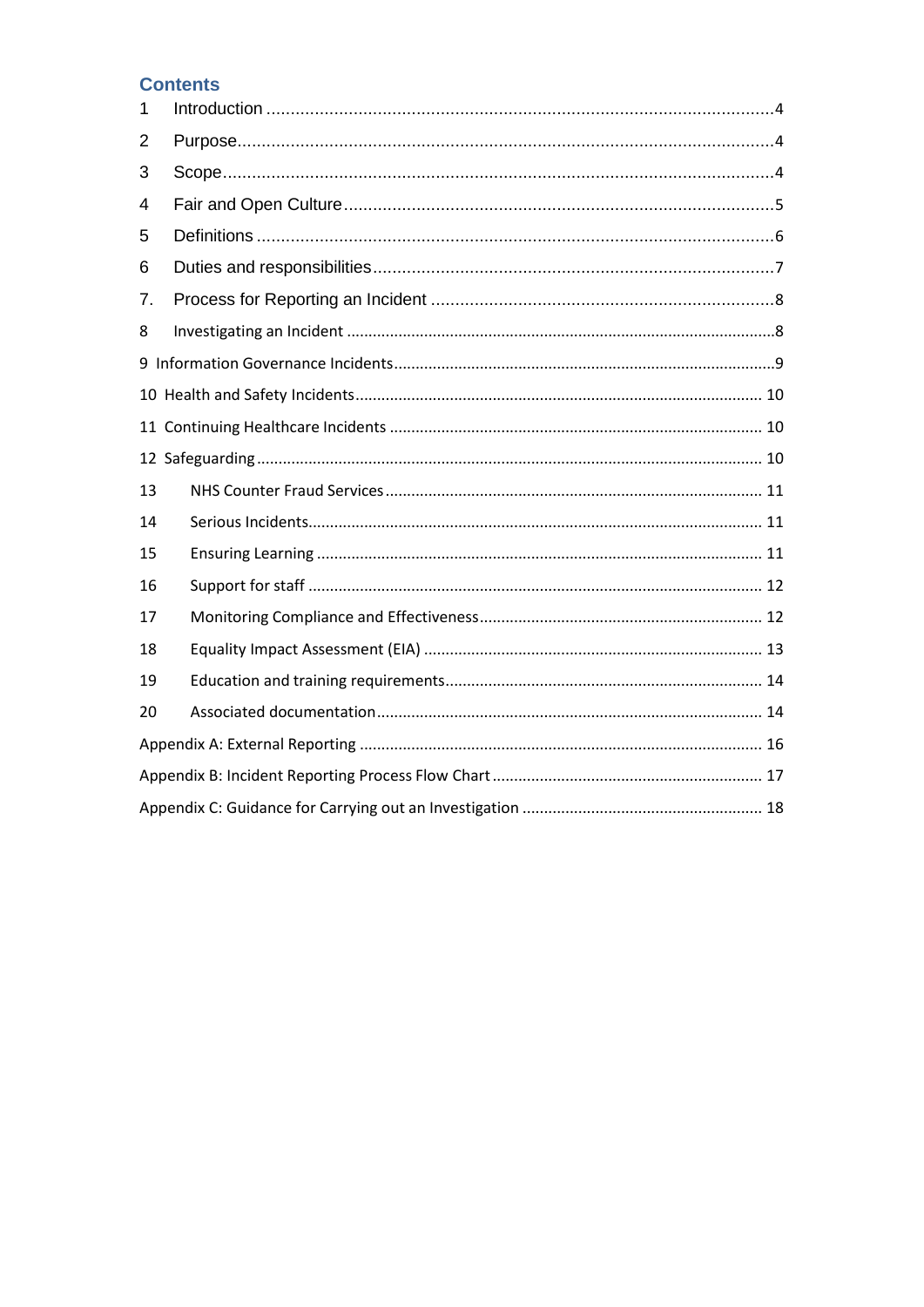### **Contents**

| 1  |  |  |
|----|--|--|
| 2  |  |  |
| 3  |  |  |
| 4  |  |  |
| 5  |  |  |
| 6  |  |  |
| 7. |  |  |
| 8  |  |  |
|    |  |  |
|    |  |  |
|    |  |  |
|    |  |  |
| 13 |  |  |
| 14 |  |  |
| 15 |  |  |
| 16 |  |  |
| 17 |  |  |
| 18 |  |  |
| 19 |  |  |
| 20 |  |  |
|    |  |  |
|    |  |  |
|    |  |  |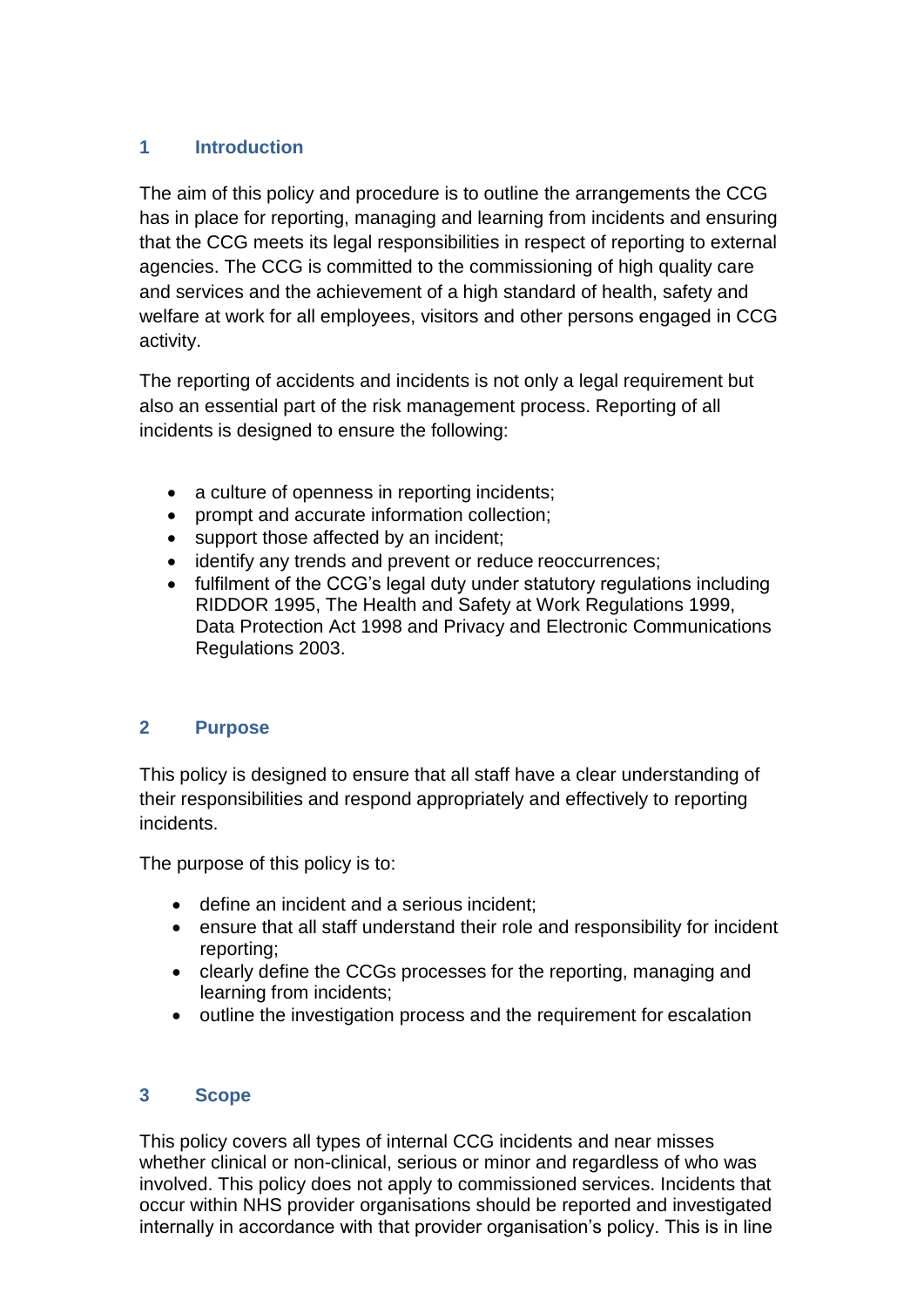### <span id="page-3-0"></span>**1 Introduction**

The aim of this policy and procedure is to outline the arrangements the CCG has in place for reporting, managing and learning from incidents and ensuring that the CCG meets its legal responsibilities in respect of reporting to external agencies. The CCG is committed to the commissioning of high quality care and services and the achievement of a high standard of health, safety and welfare at work for all employees, visitors and other persons engaged in CCG activity.

The reporting of accidents and incidents is not only a legal requirement but also an essential part of the risk management process. Reporting of all incidents is designed to ensure the following:

- a culture of openness in reporting incidents;
- prompt and accurate information collection;
- support those affected by an incident;
- identify any trends and prevent or reduce reoccurrences;
- fulfilment of the CCG's legal duty under statutory regulations including RIDDOR 1995, The Health and Safety at Work Regulations 1999, Data Protection Act 1998 and Privacy and Electronic Communications Regulations 2003.

### <span id="page-3-1"></span>**2 Purpose**

This policy is designed to ensure that all staff have a clear understanding of their responsibilities and respond appropriately and effectively to reporting incidents.

The purpose of this policy is to:

- define an incident and a serious incident;
- ensure that all staff understand their role and responsibility for incident reporting;
- clearly define the CCGs processes for the reporting, managing and learning from incidents;
- outline the investigation process and the requirement for escalation

### <span id="page-3-2"></span>**3 Scope**

This policy covers all types of internal CCG incidents and near misses whether clinical or non-clinical, serious or minor and regardless of who was involved. This policy does not apply to commissioned services. Incidents that occur within NHS provider organisations should be reported and investigated internally in accordance with that provider organisation's policy. This is in line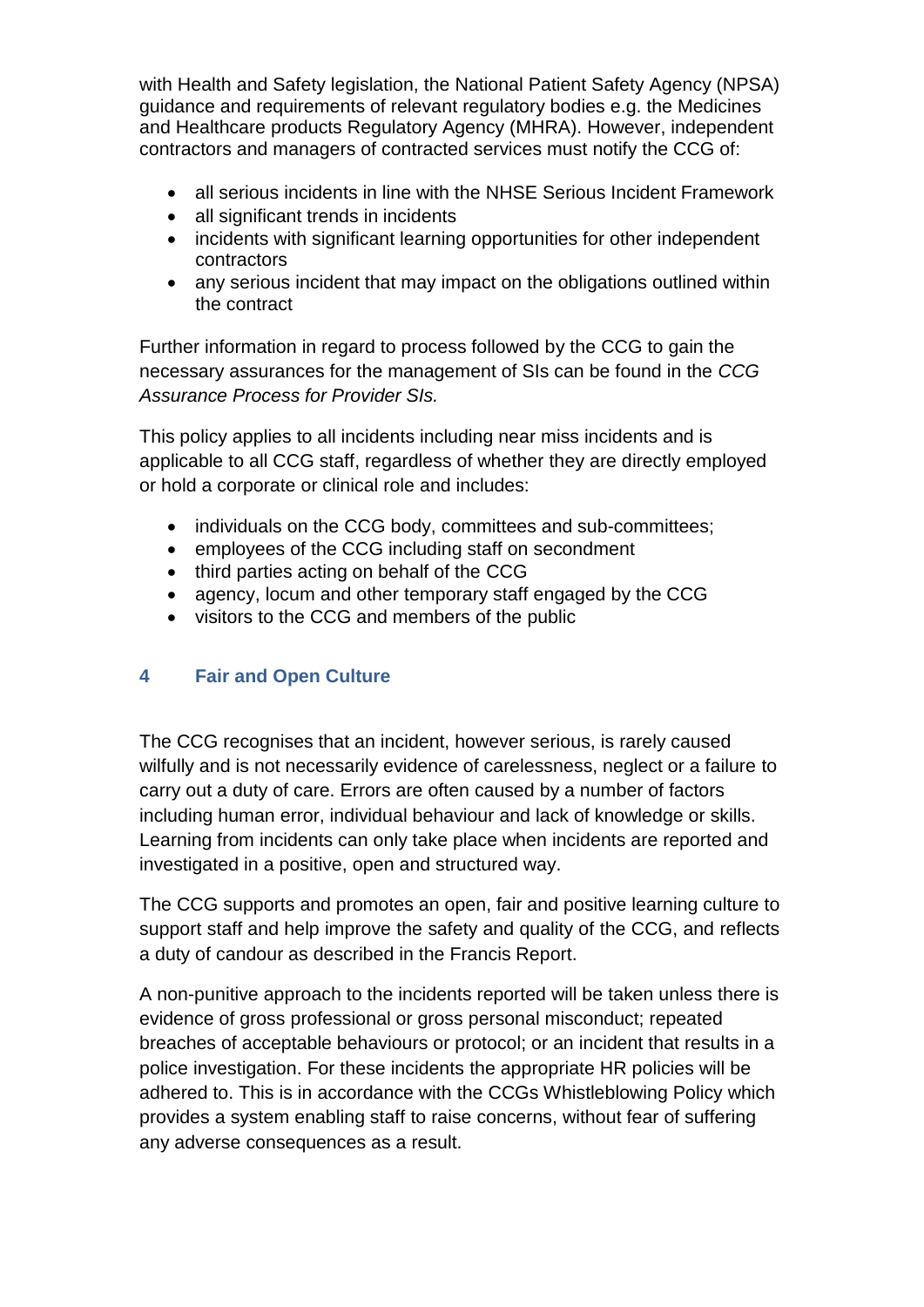with Health and Safety legislation, the National Patient Safety Agency (NPSA) guidance and requirements of relevant regulatory bodies e.g. the Medicines and Healthcare products Regulatory Agency (MHRA). However, independent contractors and managers of contracted services must notify the CCG of:

- all serious incidents in line with the NHSE Serious Incident Framework
- all significant trends in incidents
- incidents with significant learning opportunities for other independent contractors
- any serious incident that may impact on the obligations outlined within the contract

Further information in regard to process followed by the CCG to gain the necessary assurances for the management of SIs can be found in the *CCG Assurance Process for Provider SIs.*

This policy applies to all incidents including near miss incidents and is applicable to all CCG staff, regardless of whether they are directly employed or hold a corporate or clinical role and includes:

- individuals on the CCG body, committees and sub-committees;
- employees of the CCG including staff on secondment
- third parties acting on behalf of the CCG
- agency, locum and other temporary staff engaged by the CCG
- visitors to the CCG and members of the public

### <span id="page-4-0"></span>**4 Fair and Open Culture**

The CCG recognises that an incident, however serious, is rarely caused wilfully and is not necessarily evidence of carelessness, neglect or a failure to carry out a duty of care. Errors are often caused by a number of factors including human error, individual behaviour and lack of knowledge or skills. Learning from incidents can only take place when incidents are reported and investigated in a positive, open and structured way.

The CCG supports and promotes an open, fair and positive learning culture to support staff and help improve the safety and quality of the CCG, and reflects a duty of candour as described in the Francis Report.

A non-punitive approach to the incidents reported will be taken unless there is evidence of gross professional or gross personal misconduct; repeated breaches of acceptable behaviours or protocol; or an incident that results in a police investigation. For these incidents the appropriate HR policies will be adhered to. This is in accordance with the CCGs Whistleblowing Policy which provides a system enabling staff to raise concerns, without fear of suffering any adverse consequences as a result.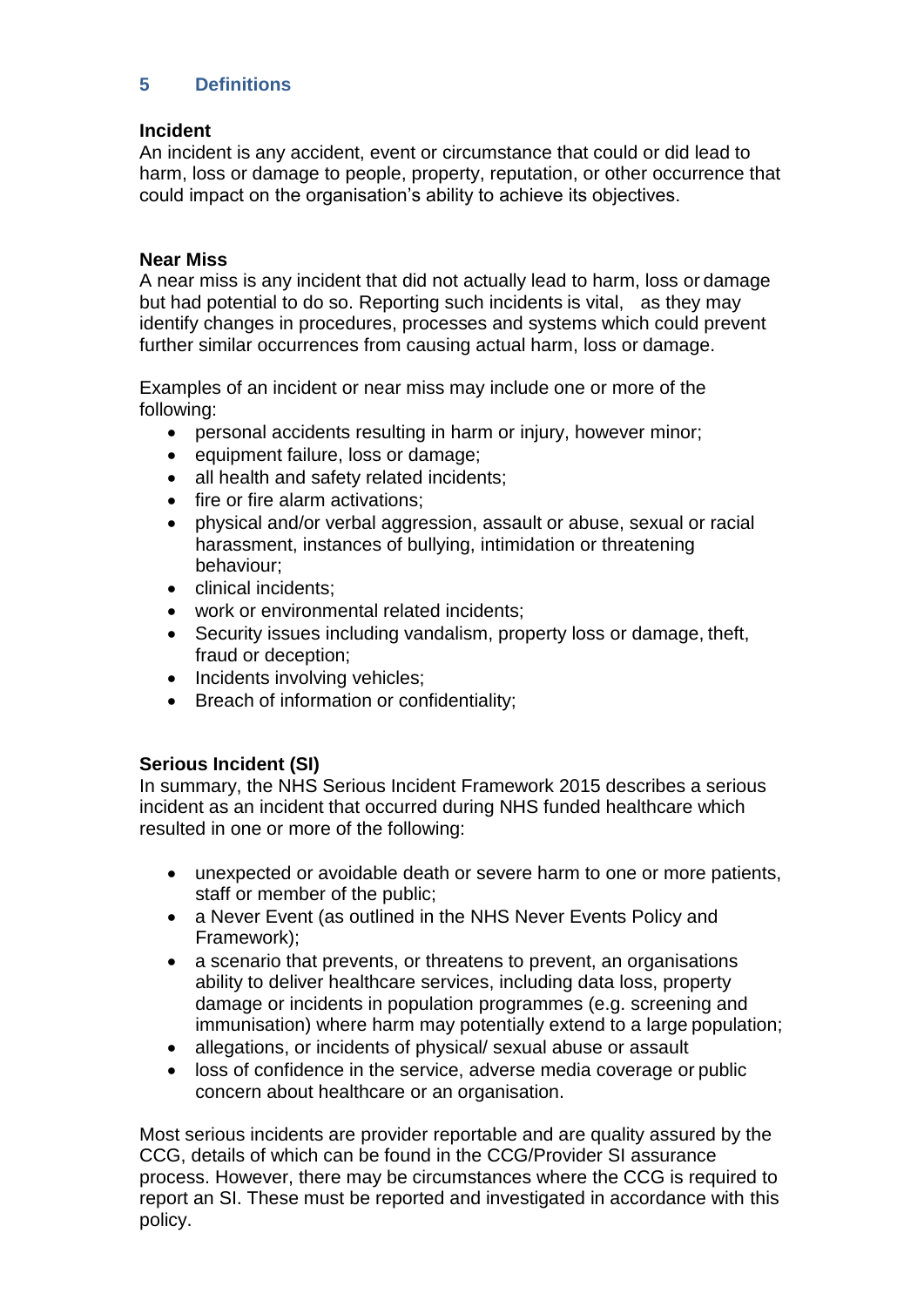### <span id="page-5-0"></span>**5 Definitions**

#### **Incident**

An incident is any accident, event or circumstance that could or did lead to harm, loss or damage to people, property, reputation, or other occurrence that could impact on the organisation's ability to achieve its objectives.

#### **Near Miss**

A near miss is any incident that did not actually lead to harm, loss or damage but had potential to do so. Reporting such incidents is vital, as they may identify changes in procedures, processes and systems which could prevent further similar occurrences from causing actual harm, loss or damage.

Examples of an incident or near miss may include one or more of the following:

- personal accidents resulting in harm or injury, however minor;
- equipment failure, loss or damage;
- all health and safety related incidents;
- fire or fire alarm activations;
- physical and/or verbal aggression, assault or abuse, sexual or racial harassment, instances of bullying, intimidation or threatening behaviour;
- clinical incidents:
- work or environmental related incidents;
- Security issues including vandalism, property loss or damage, theft, fraud or deception;
- Incidents involving vehicles;
- Breach of information or confidentiality;

#### **Serious Incident (SI)**

In summary, the NHS Serious Incident Framework 2015 describes a serious incident as an incident that occurred during NHS funded healthcare which resulted in one or more of the following:

- unexpected or avoidable death or severe harm to one or more patients, staff or member of the public;
- a Never Event (as outlined in the NHS Never Events Policy and Framework);
- a scenario that prevents, or threatens to prevent, an organisations ability to deliver healthcare services, including data loss, property damage or incidents in population programmes (e.g. screening and immunisation) where harm may potentially extend to a large population;
- allegations, or incidents of physical/ sexual abuse or assault
- loss of confidence in the service, adverse media coverage or public concern about healthcare or an organisation.

Most serious incidents are provider reportable and are quality assured by the CCG, details of which can be found in the CCG/Provider SI assurance process. However, there may be circumstances where the CCG is required to report an SI. These must be reported and investigated in accordance with this policy.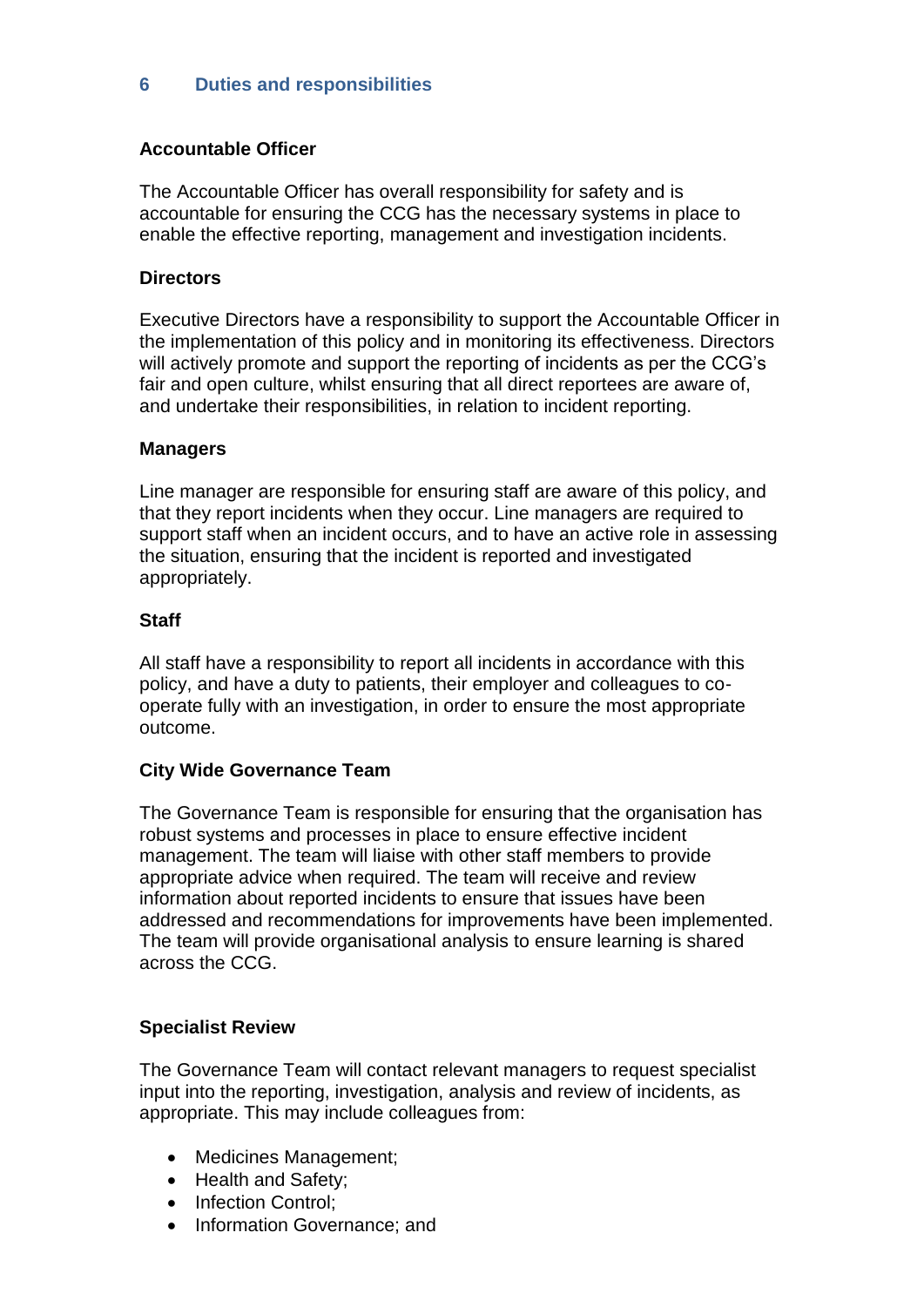### <span id="page-6-0"></span>**6 Duties and responsibilities**

#### **Accountable Officer**

The Accountable Officer has overall responsibility for safety and is accountable for ensuring the CCG has the necessary systems in place to enable the effective reporting, management and investigation incidents.

#### **Directors**

Executive Directors have a responsibility to support the Accountable Officer in the implementation of this policy and in monitoring its effectiveness. Directors will actively promote and support the reporting of incidents as per the CCG's fair and open culture, whilst ensuring that all direct reportees are aware of, and undertake their responsibilities, in relation to incident reporting.

#### **Managers**

Line manager are responsible for ensuring staff are aware of this policy, and that they report incidents when they occur. Line managers are required to support staff when an incident occurs, and to have an active role in assessing the situation, ensuring that the incident is reported and investigated appropriately.

#### **Staff**

All staff have a responsibility to report all incidents in accordance with this policy, and have a duty to patients, their employer and colleagues to cooperate fully with an investigation, in order to ensure the most appropriate outcome.

#### **City Wide Governance Team**

The Governance Team is responsible for ensuring that the organisation has robust systems and processes in place to ensure effective incident management. The team will liaise with other staff members to provide appropriate advice when required. The team will receive and review information about reported incidents to ensure that issues have been addressed and recommendations for improvements have been implemented. The team will provide organisational analysis to ensure learning is shared across the CCG.

#### **Specialist Review**

The Governance Team will contact relevant managers to request specialist input into the reporting, investigation, analysis and review of incidents, as appropriate. This may include colleagues from:

- Medicines Management;
- Health and Safety;
- Infection Control:
- Information Governance; and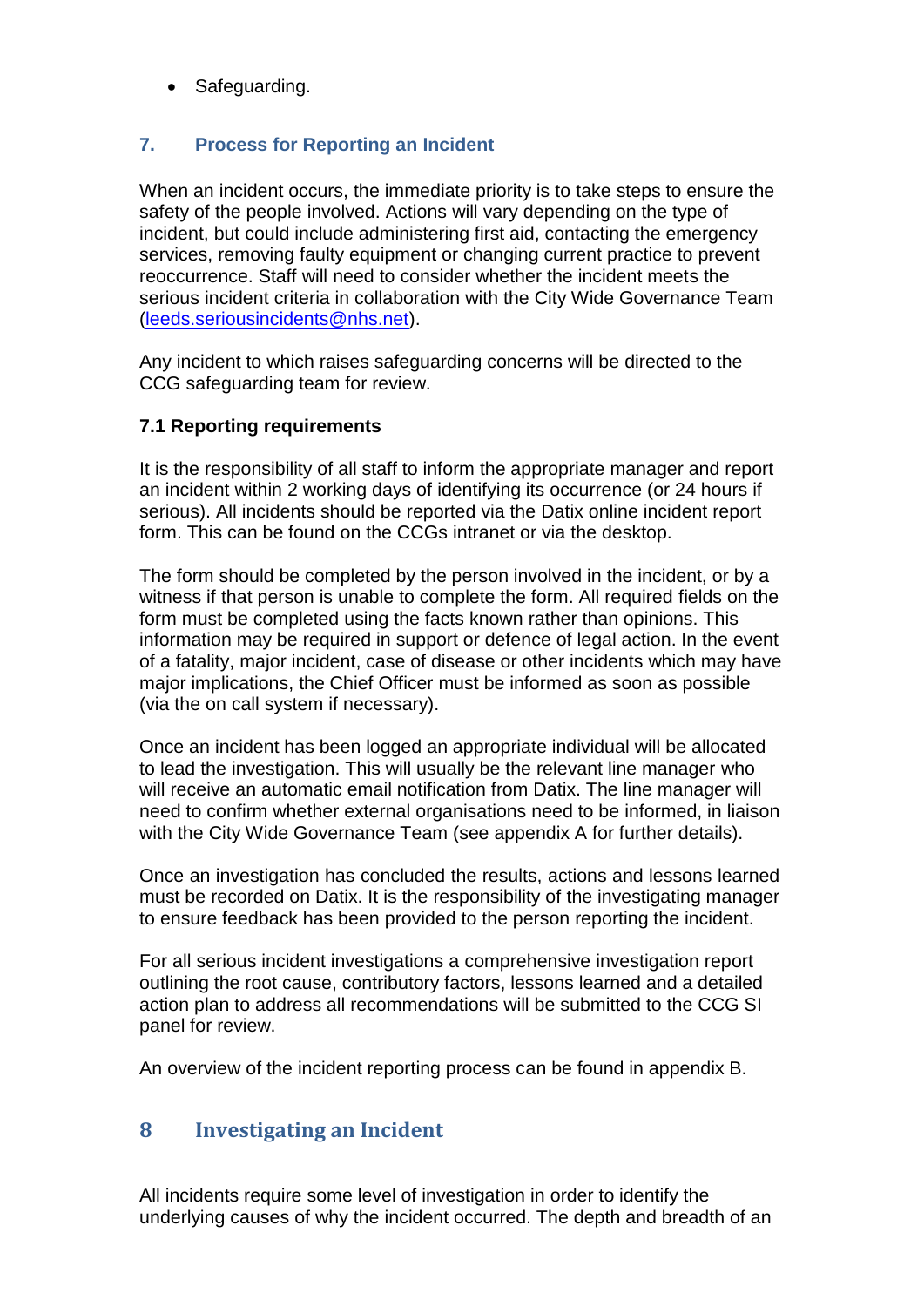• Safeguarding.

### <span id="page-7-0"></span>**7. Process for Reporting an Incident**

When an incident occurs, the immediate priority is to take steps to ensure the safety of the people involved. Actions will vary depending on the type of incident, but could include administering first aid, contacting the emergency services, removing faulty equipment or changing current practice to prevent reoccurrence. Staff will need to consider whether the incident meets the serious incident criteria in collaboration with the City Wide Governance Team [\(leeds.seriousincidents@nhs.net\)](mailto:leeds.seriousincidents@nhs.net).

Any incident to which raises safeguarding concerns will be directed to the CCG safeguarding team for review.

### **7.1 Reporting requirements**

It is the responsibility of all staff to inform the appropriate manager and report an incident within 2 working days of identifying its occurrence (or 24 hours if serious). All incidents should be reported via the Datix online incident report form. This can be found on the CCGs intranet or via the desktop.

The form should be completed by the person involved in the incident, or by a witness if that person is unable to complete the form. All required fields on the form must be completed using the facts known rather than opinions. This information may be required in support or defence of legal action. In the event of a fatality, major incident, case of disease or other incidents which may have major implications, the Chief Officer must be informed as soon as possible (via the on call system if necessary).

Once an incident has been logged an appropriate individual will be allocated to lead the investigation. This will usually be the relevant line manager who will receive an automatic email notification from Datix. The line manager will need to confirm whether external organisations need to be informed, in liaison with the City Wide Governance Team (see appendix A for further details).

Once an investigation has concluded the results, actions and lessons learned must be recorded on Datix. It is the responsibility of the investigating manager to ensure feedback has been provided to the person reporting the incident.

For all serious incident investigations a comprehensive investigation report outlining the root cause, contributory factors, lessons learned and a detailed action plan to address all recommendations will be submitted to the CCG SI panel for review.

An overview of the incident reporting process can be found in appendix B.

### <span id="page-7-1"></span>**8 Investigating an Incident**

All incidents require some level of investigation in order to identify the underlying causes of why the incident occurred. The depth and breadth of an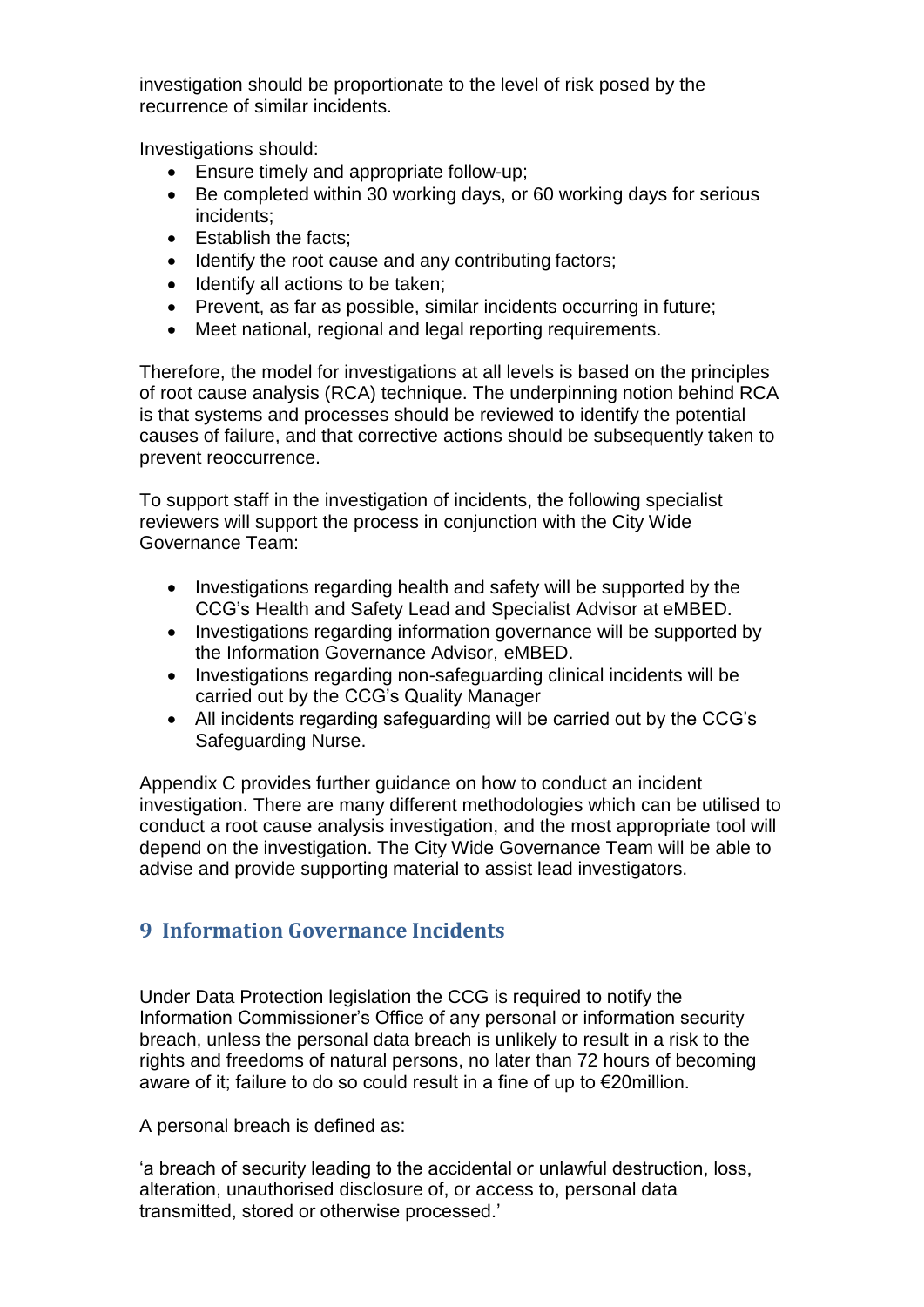investigation should be proportionate to the level of risk posed by the recurrence of similar incidents.

Investigations should:

- Ensure timely and appropriate follow-up;
- Be completed within 30 working days, or 60 working days for serious incidents;
- Establish the facts:
- Identify the root cause and any contributing factors;
- Identify all actions to be taken;
- Prevent, as far as possible, similar incidents occurring in future;
- Meet national, regional and legal reporting requirements.

Therefore, the model for investigations at all levels is based on the principles of root cause analysis (RCA) technique. The underpinning notion behind RCA is that systems and processes should be reviewed to identify the potential causes of failure, and that corrective actions should be subsequently taken to prevent reoccurrence.

To support staff in the investigation of incidents, the following specialist reviewers will support the process in conjunction with the City Wide Governance Team:

- Investigations regarding health and safety will be supported by the CCG's Health and Safety Lead and Specialist Advisor at eMBED.
- Investigations regarding information governance will be supported by the Information Governance Advisor, eMBED.
- Investigations regarding non-safeguarding clinical incidents will be carried out by the CCG's Quality Manager
- All incidents regarding safeguarding will be carried out by the CCG's Safeguarding Nurse.

Appendix C provides further guidance on how to conduct an incident investigation. There are many different methodologies which can be utilised to conduct a root cause analysis investigation, and the most appropriate tool will depend on the investigation. The City Wide Governance Team will be able to advise and provide supporting material to assist lead investigators.

# <span id="page-8-0"></span>**9 Information Governance Incidents**

Under Data Protection legislation the CCG is required to notify the Information Commissioner's Office of any personal or information security breach, unless the personal data breach is unlikely to result in a risk to the rights and freedoms of natural persons, no later than 72 hours of becoming aware of it; failure to do so could result in a fine of up to €20million.

A personal breach is defined as:

'a breach of security leading to the accidental or unlawful destruction, loss, alteration, unauthorised disclosure of, or access to, personal data transmitted, stored or otherwise processed.'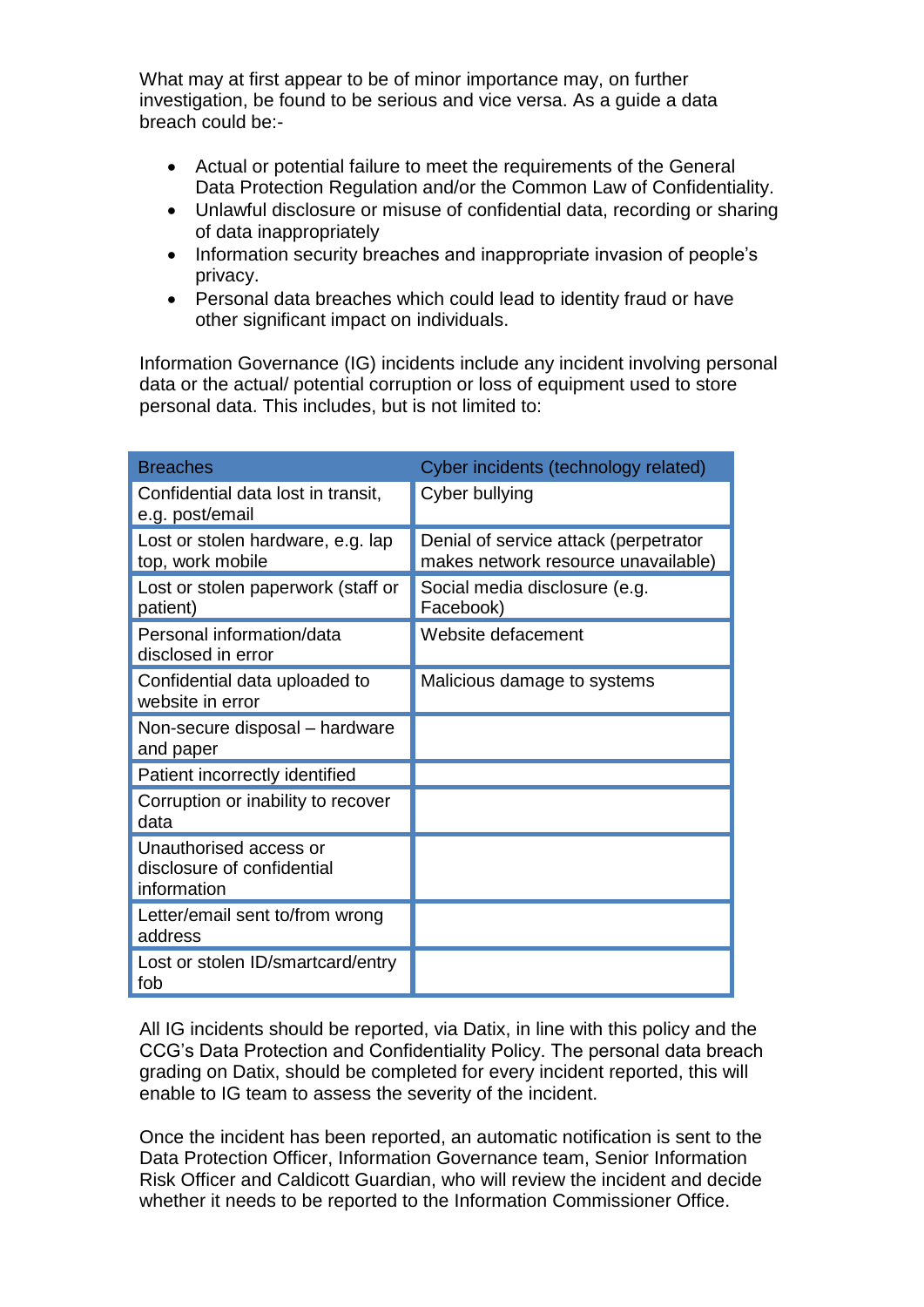What may at first appear to be of minor importance may, on further investigation, be found to be serious and vice versa. As a guide a data breach could be:-

- Actual or potential failure to meet the requirements of the General Data Protection Regulation and/or the Common Law of Confidentiality.
- Unlawful disclosure or misuse of confidential data, recording or sharing of data inappropriately
- Information security breaches and inappropriate invasion of people's privacy.
- Personal data breaches which could lead to identity fraud or have other significant impact on individuals.

Information Governance (IG) incidents include any incident involving personal data or the actual/ potential corruption or loss of equipment used to store personal data. This includes, but is not limited to:

| <b>Breaches</b>                                                     | Cyber incidents (technology related)                                         |
|---------------------------------------------------------------------|------------------------------------------------------------------------------|
| Confidential data lost in transit,<br>e.g. post/email               | Cyber bullying                                                               |
| Lost or stolen hardware, e.g. lap<br>top, work mobile               | Denial of service attack (perpetrator<br>makes network resource unavailable) |
| Lost or stolen paperwork (staff or<br>patient)                      | Social media disclosure (e.g.<br>Facebook)                                   |
| Personal information/data<br>disclosed in error                     | Website defacement                                                           |
| Confidential data uploaded to<br>website in error                   | Malicious damage to systems                                                  |
| Non-secure disposal - hardware<br>and paper                         |                                                                              |
| Patient incorrectly identified                                      |                                                                              |
| Corruption or inability to recover<br>data                          |                                                                              |
| Unauthorised access or<br>disclosure of confidential<br>information |                                                                              |
| Letter/email sent to/from wrong<br>address                          |                                                                              |
| Lost or stolen ID/smartcard/entry<br>fob                            |                                                                              |

All IG incidents should be reported, via Datix, in line with this policy and the CCG's Data Protection and Confidentiality Policy. The personal data breach grading on Datix, should be completed for every incident reported, this will enable to IG team to assess the severity of the incident.

Once the incident has been reported, an automatic notification is sent to the Data Protection Officer, Information Governance team, Senior Information Risk Officer and Caldicott Guardian, who will review the incident and decide whether it needs to be reported to the Information Commissioner Office.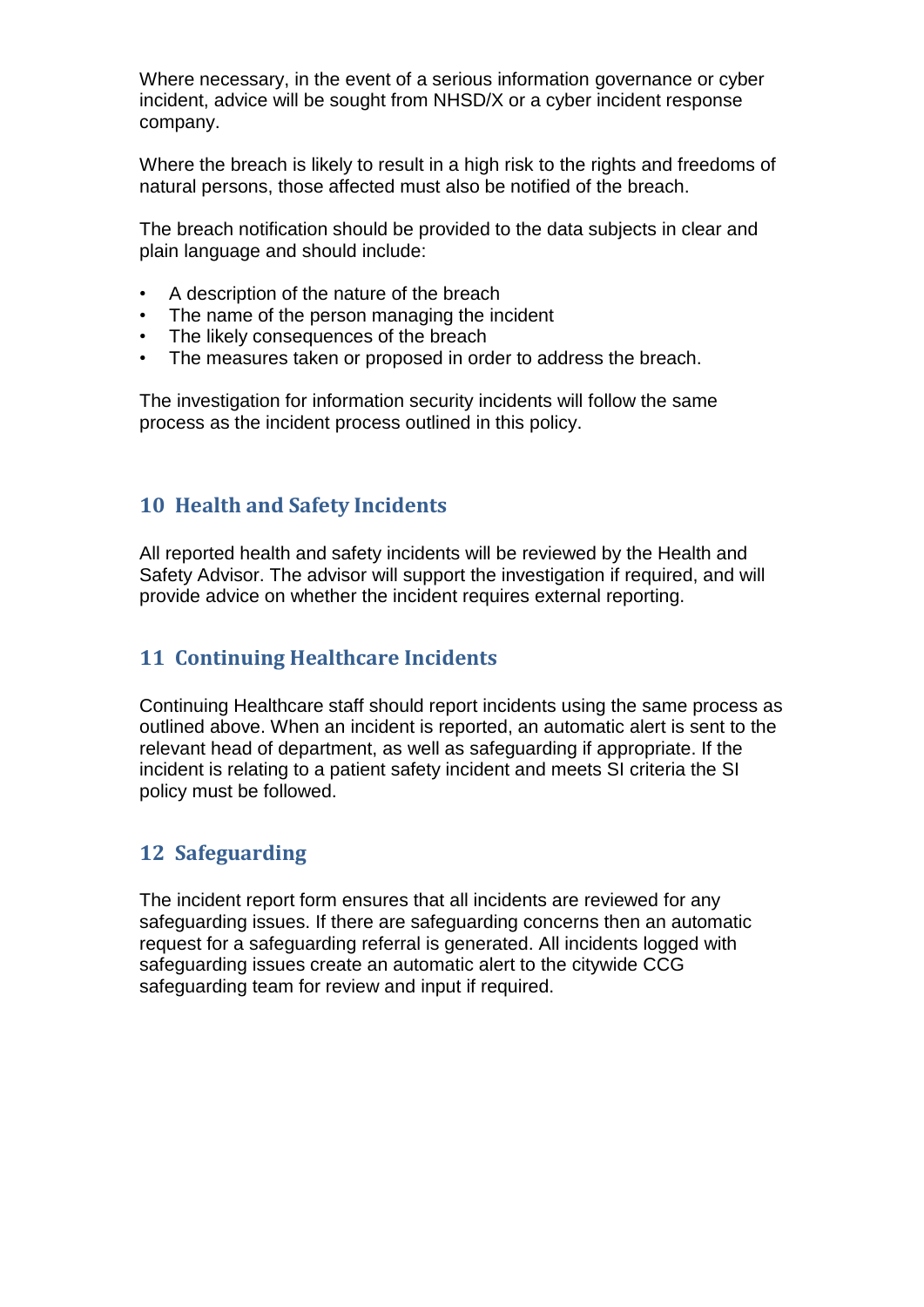Where necessary, in the event of a serious information governance or cyber incident, advice will be sought from NHSD/X or a cyber incident response company.

Where the breach is likely to result in a high risk to the rights and freedoms of natural persons, those affected must also be notified of the breach.

The breach notification should be provided to the data subjects in clear and plain language and should include:

- A description of the nature of the breach
- The name of the person managing the incident
- The likely consequences of the breach
- The measures taken or proposed in order to address the breach.

The investigation for information security incidents will follow the same process as the incident process outlined in this policy.

### <span id="page-10-0"></span>**10 Health and Safety Incidents**

All reported health and safety incidents will be reviewed by the Health and Safety Advisor. The advisor will support the investigation if required, and will provide advice on whether the incident requires external reporting.

### <span id="page-10-1"></span>**11 Continuing Healthcare Incidents**

Continuing Healthcare staff should report incidents using the same process as outlined above. When an incident is reported, an automatic alert is sent to the relevant head of department, as well as safeguarding if appropriate. If the incident is relating to a patient safety incident and meets SI criteria the SI policy must be followed.

### <span id="page-10-2"></span>**12 Safeguarding**

The incident report form ensures that all incidents are reviewed for any safeguarding issues. If there are safeguarding concerns then an automatic request for a safeguarding referral is generated. All incidents logged with safeguarding issues create an automatic alert to the citywide CCG safeguarding team for review and input if required.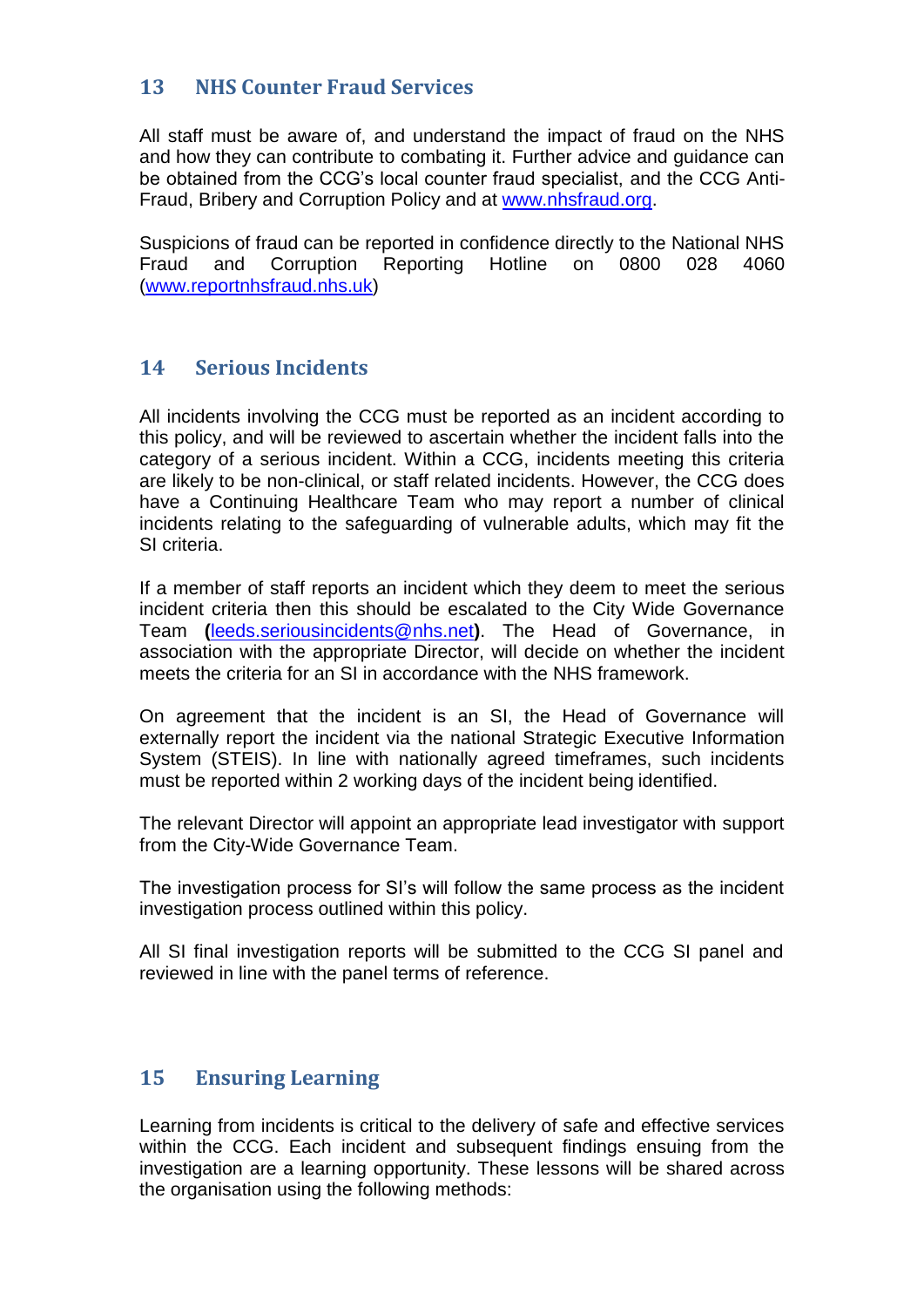### <span id="page-11-0"></span>**13 NHS Counter Fraud Services**

All staff must be aware of, and understand the impact of fraud on the NHS and how they can contribute to combating it. Further advice and guidance can be obtained from the CCG's local counter fraud specialist, and the CCG Anti-Fraud, Bribery and Corruption Policy and at [www.nhsfraud.org.](http://www.nhsfraud.org/)

Suspicions of fraud can be reported in confidence directly to the National NHS<br>Fraud and Corruption Reporting Hotline on 0800 028 4060 Hotline on [\(www.reportnhsfraud.nhs.uk\)](http://www.reportnhsfraud.nhs.uk/)

### <span id="page-11-1"></span>**14 Serious Incidents**

All incidents involving the CCG must be reported as an incident according to this policy, and will be reviewed to ascertain whether the incident falls into the category of a serious incident. Within a CCG, incidents meeting this criteria are likely to be non-clinical, or staff related incidents. However, the CCG does have a Continuing Healthcare Team who may report a number of clinical incidents relating to the safeguarding of vulnerable adults, which may fit the SI criteria.

If a member of staff reports an incident which they deem to meet the serious incident criteria then this should be escalated to the City Wide Governance Team **(**[leeds.seriousincidents@nhs.net](mailto:leeds.seriousincidents@nhs.net)**)**. The Head of Governance, in association with the appropriate Director, will decide on whether the incident meets the criteria for an SI in accordance with the NHS framework.

On agreement that the incident is an SI, the Head of Governance will externally report the incident via the national Strategic Executive Information System (STEIS). In line with nationally agreed timeframes, such incidents must be reported within 2 working days of the incident being identified.

The relevant Director will appoint an appropriate lead investigator with support from the City-Wide Governance Team.

The investigation process for SI's will follow the same process as the incident investigation process outlined within this policy.

All SI final investigation reports will be submitted to the CCG SI panel and reviewed in line with the panel terms of reference.

### <span id="page-11-2"></span>**15 Ensuring Learning**

Learning from incidents is critical to the delivery of safe and effective services within the CCG. Each incident and subsequent findings ensuing from the investigation are a learning opportunity. These lessons will be shared across the organisation using the following methods: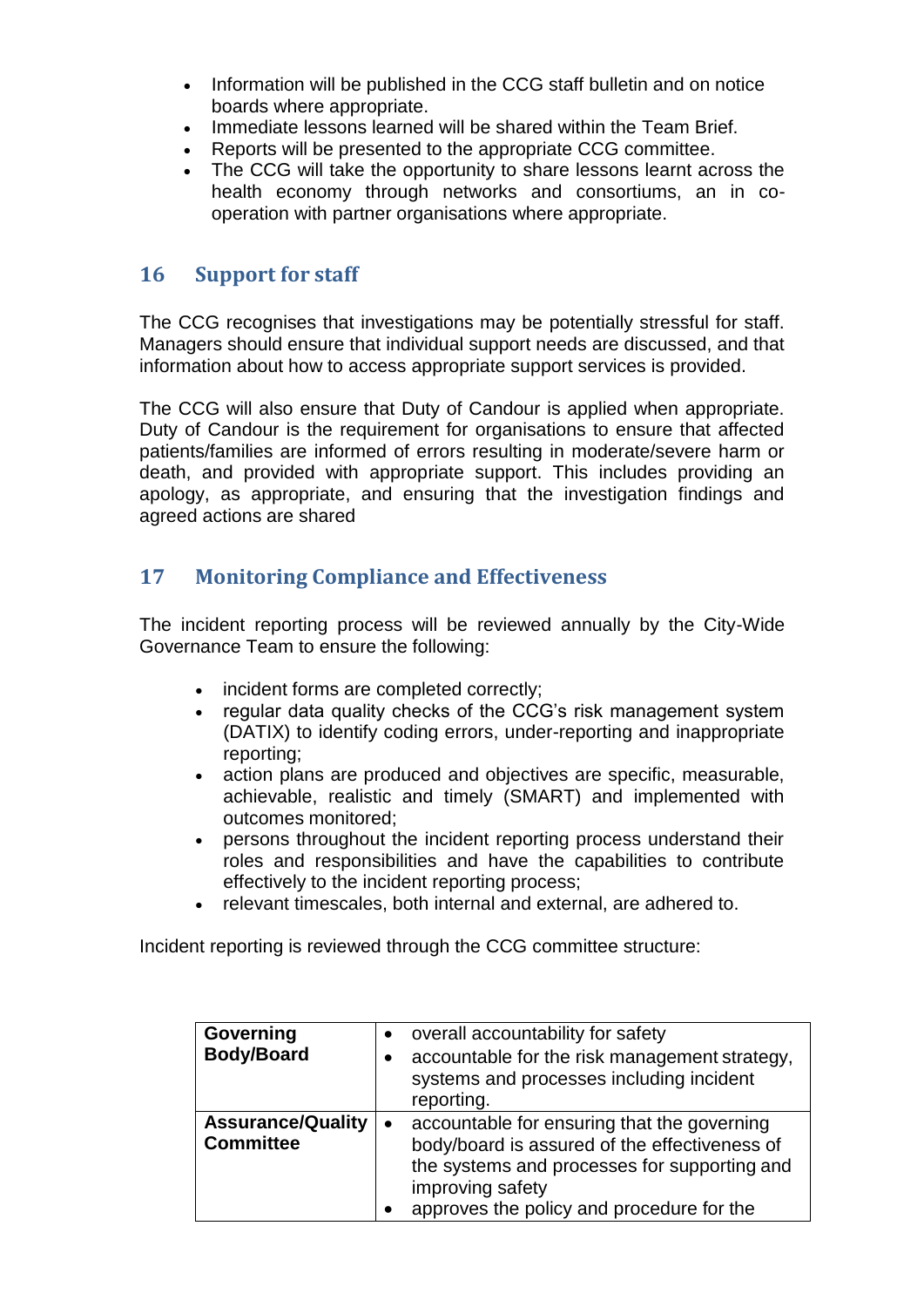- Information will be published in the CCG staff bulletin and on notice boards where appropriate.
- Immediate lessons learned will be shared within the Team Brief.
- Reports will be presented to the appropriate CCG committee.
- The CCG will take the opportunity to share lessons learnt across the health economy through networks and consortiums, an in cooperation with partner organisations where appropriate.

### <span id="page-12-0"></span>**16 Support for staff**

The CCG recognises that investigations may be potentially stressful for staff. Managers should ensure that individual support needs are discussed, and that information about how to access appropriate support services is provided.

The CCG will also ensure that Duty of Candour is applied when appropriate. Duty of Candour is the requirement for organisations to ensure that affected patients/families are informed of errors resulting in moderate/severe harm or death, and provided with appropriate support. This includes providing an apology, as appropriate, and ensuring that the investigation findings and agreed actions are shared

### <span id="page-12-1"></span>**17 Monitoring Compliance and Effectiveness**

The incident reporting process will be reviewed annually by the City-Wide Governance Team to ensure the following:

- incident forms are completed correctly;
- regular data quality checks of the CCG's risk management system (DATIX) to identify coding errors, under-reporting and inappropriate reporting;
- action plans are produced and objectives are specific, measurable, achievable, realistic and timely (SMART) and implemented with outcomes monitored;
- persons throughout the incident reporting process understand their roles and responsibilities and have the capabilities to contribute effectively to the incident reporting process;
- relevant timescales, both internal and external, are adhered to.

Incident reporting is reviewed through the CCG committee structure:

| Governing<br><b>Body/Board</b>               | overall accountability for safety<br>$\bullet$<br>accountable for the risk management strategy,<br>$\bullet$<br>systems and processes including incident<br>reporting.                                                     |
|----------------------------------------------|----------------------------------------------------------------------------------------------------------------------------------------------------------------------------------------------------------------------------|
| <b>Assurance/Quality</b><br><b>Committee</b> | accountable for ensuring that the governing<br>$\bullet$<br>body/board is assured of the effectiveness of<br>the systems and processes for supporting and<br>improving safety<br>approves the policy and procedure for the |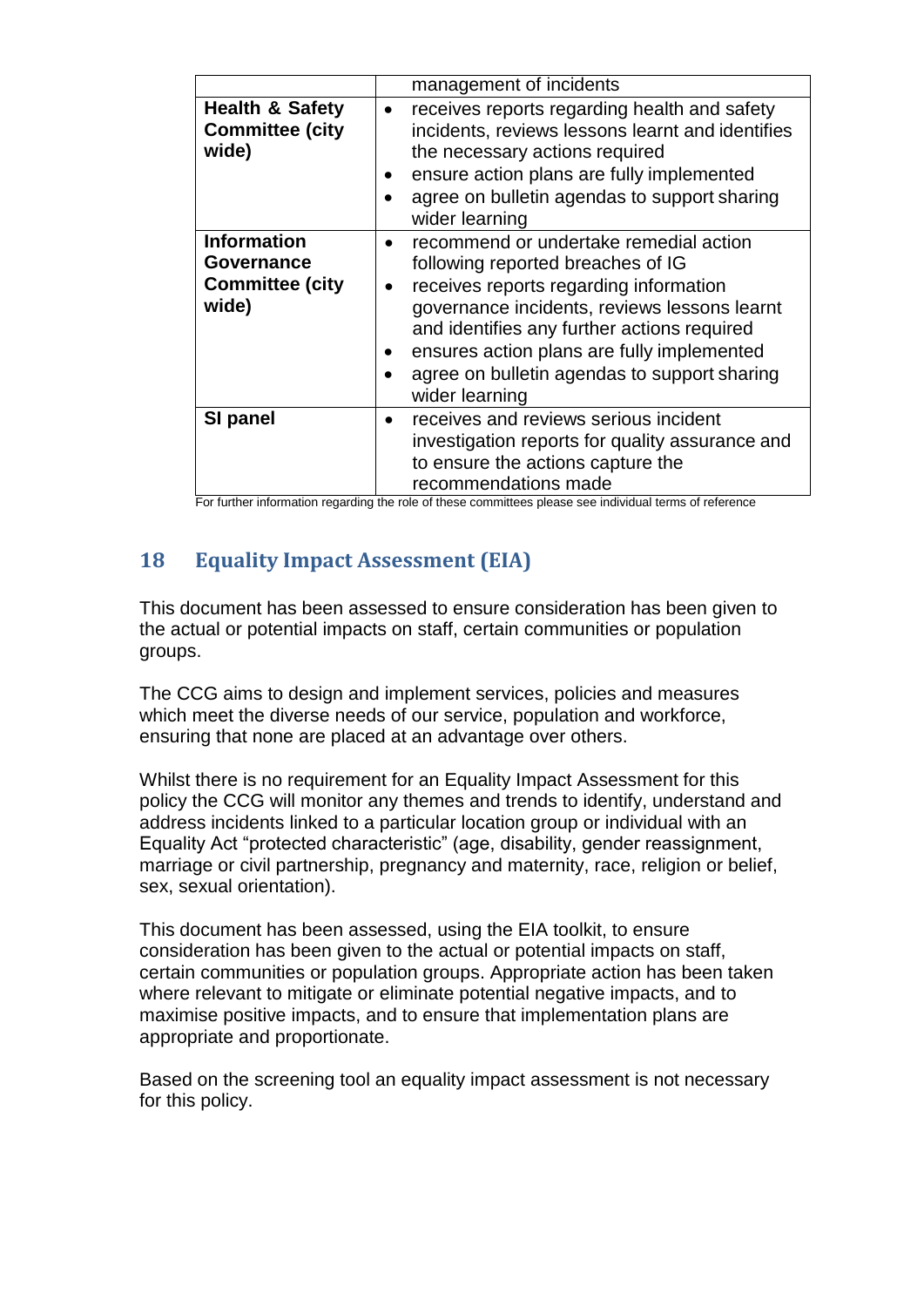|                                                                     | management of incidents                                                                                                                                                                                                                                                                                                                           |
|---------------------------------------------------------------------|---------------------------------------------------------------------------------------------------------------------------------------------------------------------------------------------------------------------------------------------------------------------------------------------------------------------------------------------------|
| <b>Health &amp; Safety</b><br><b>Committee (city</b><br>wide)       | receives reports regarding health and safety<br>incidents, reviews lessons learnt and identifies<br>the necessary actions required<br>ensure action plans are fully implemented<br>agree on bulletin agendas to support sharing<br>wider learning                                                                                                 |
| <b>Information</b><br>Governance<br><b>Committee (city</b><br>wide) | recommend or undertake remedial action<br>following reported breaches of IG<br>receives reports regarding information<br>$\bullet$<br>governance incidents, reviews lessons learnt<br>and identifies any further actions required<br>ensures action plans are fully implemented<br>agree on bulletin agendas to support sharing<br>wider learning |
| SI panel<br>Experience in the fact of a                             | receives and reviews serious incident<br>investigation reports for quality assurance and<br>to ensure the actions capture the<br>recommendations made                                                                                                                                                                                             |

For further information regarding the role of these committees please see individual terms of reference

# <span id="page-13-0"></span>**18 Equality Impact Assessment (EIA)**

This document has been assessed to ensure consideration has been given to the actual or potential impacts on staff, certain communities or population groups.

The CCG aims to design and implement services, policies and measures which meet the diverse needs of our service, population and workforce, ensuring that none are placed at an advantage over others.

Whilst there is no requirement for an Equality Impact Assessment for this policy the CCG will monitor any themes and trends to identify, understand and address incidents linked to a particular location group or individual with an Equality Act "protected characteristic" (age, disability, gender reassignment, marriage or civil partnership, pregnancy and maternity, race, religion or belief, sex, sexual orientation).

This document has been assessed, using the EIA toolkit, to ensure consideration has been given to the actual or potential impacts on staff, certain communities or population groups. Appropriate action has been taken where relevant to mitigate or eliminate potential negative impacts, and to maximise positive impacts, and to ensure that implementation plans are appropriate and proportionate.

Based on the screening tool an equality impact assessment is not necessary for this policy.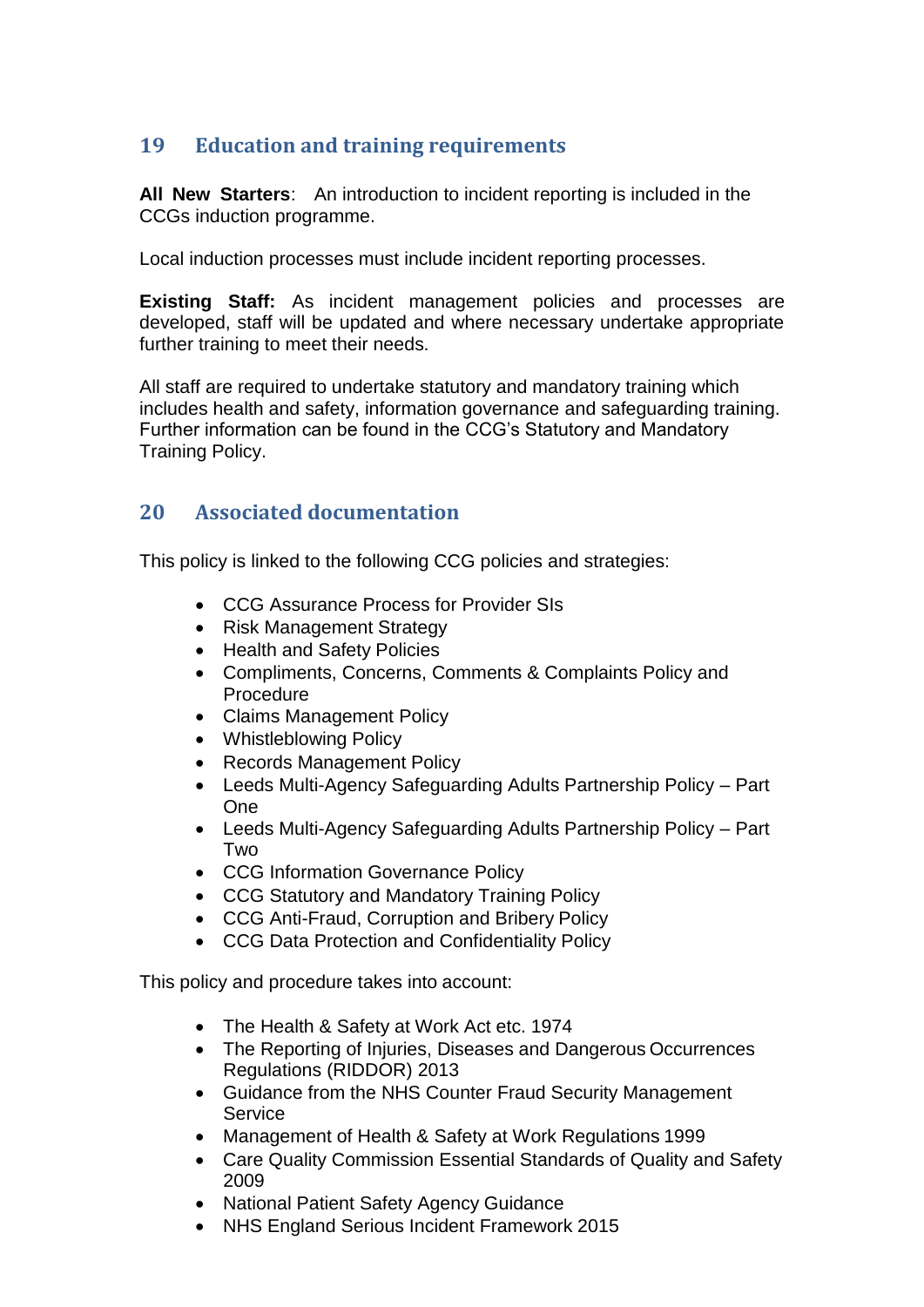# <span id="page-14-0"></span>**19 Education and training requirements**

**All New Starters**: An introduction to incident reporting is included in the CCGs induction programme.

Local induction processes must include incident reporting processes.

**Existing Staff:** As incident management policies and processes are developed, staff will be updated and where necessary undertake appropriate further training to meet their needs.

All staff are required to undertake statutory and mandatory training which includes health and safety, information governance and safeguarding training. Further information can be found in the CCG's Statutory and Mandatory Training Policy.

# <span id="page-14-1"></span>**20 Associated documentation**

This policy is linked to the following CCG policies and strategies:

- CCG Assurance Process for Provider SIs
- Risk Management Strategy
- Health and Safety Policies
- Compliments, Concerns, Comments & Complaints Policy and Procedure
- Claims Management Policy
- Whistleblowing Policy
- Records Management Policy
- Leeds Multi-Agency Safeguarding Adults Partnership Policy Part One
- Leeds Multi-Agency Safeguarding Adults Partnership Policy Part Two
- CCG Information Governance Policy
- CCG Statutory and Mandatory Training Policy
- CCG Anti-Fraud, Corruption and Bribery Policy
- CCG Data Protection and Confidentiality Policy

This policy and procedure takes into account:

- The Health & Safety at Work Act etc. 1974
- The Reporting of Injuries, Diseases and Dangerous Occurrences Regulations (RIDDOR) 2013
- Guidance from the NHS Counter Fraud Security Management **Service**
- Management of Health & Safety at Work Regulations 1999
- Care Quality Commission Essential Standards of Quality and Safety 2009
- National Patient Safety Agency Guidance
- NHS England Serious Incident Framework 2015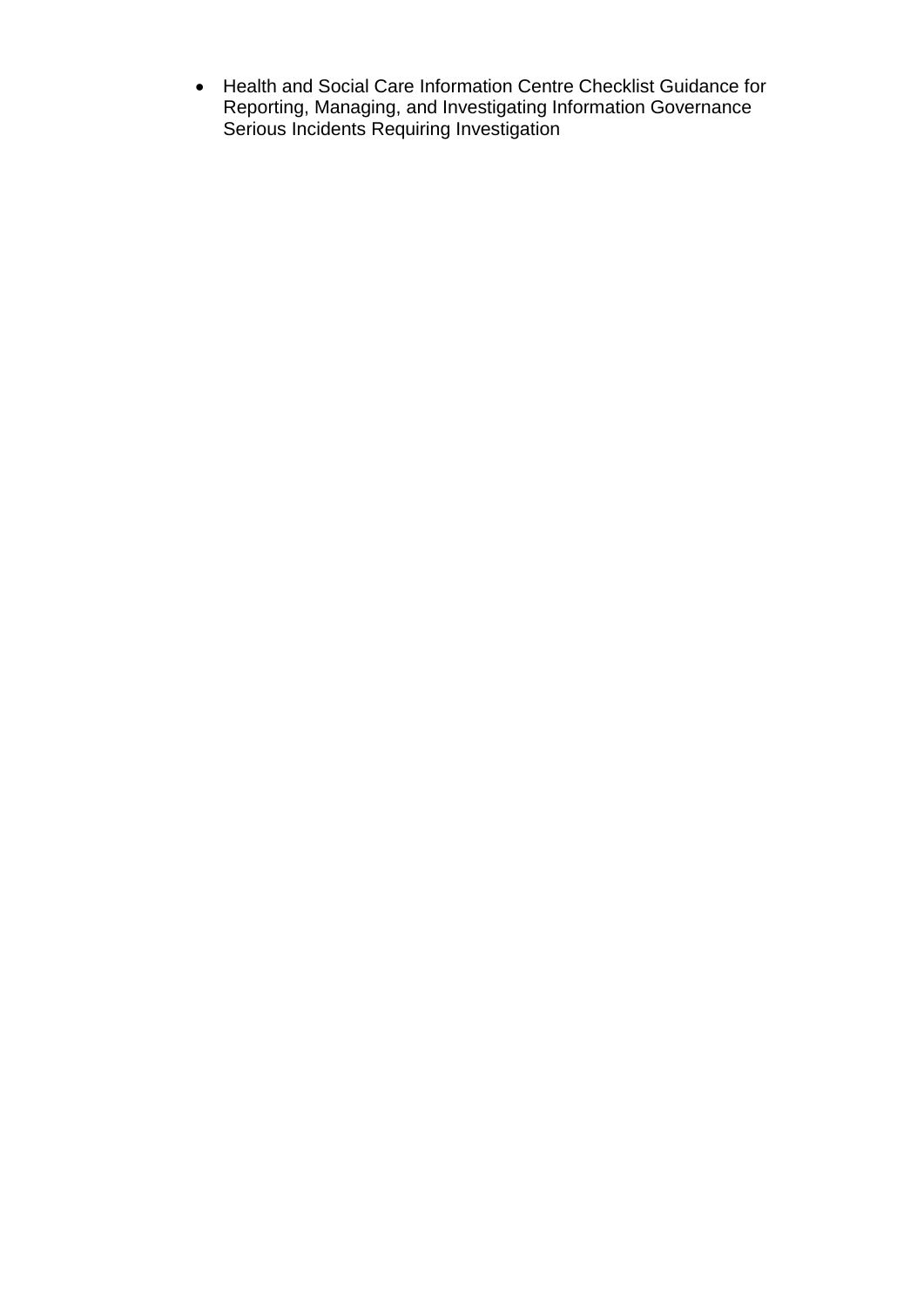Health and Social Care Information Centre Checklist Guidance for Reporting, Managing, and Investigating Information Governance Serious Incidents Requiring Investigation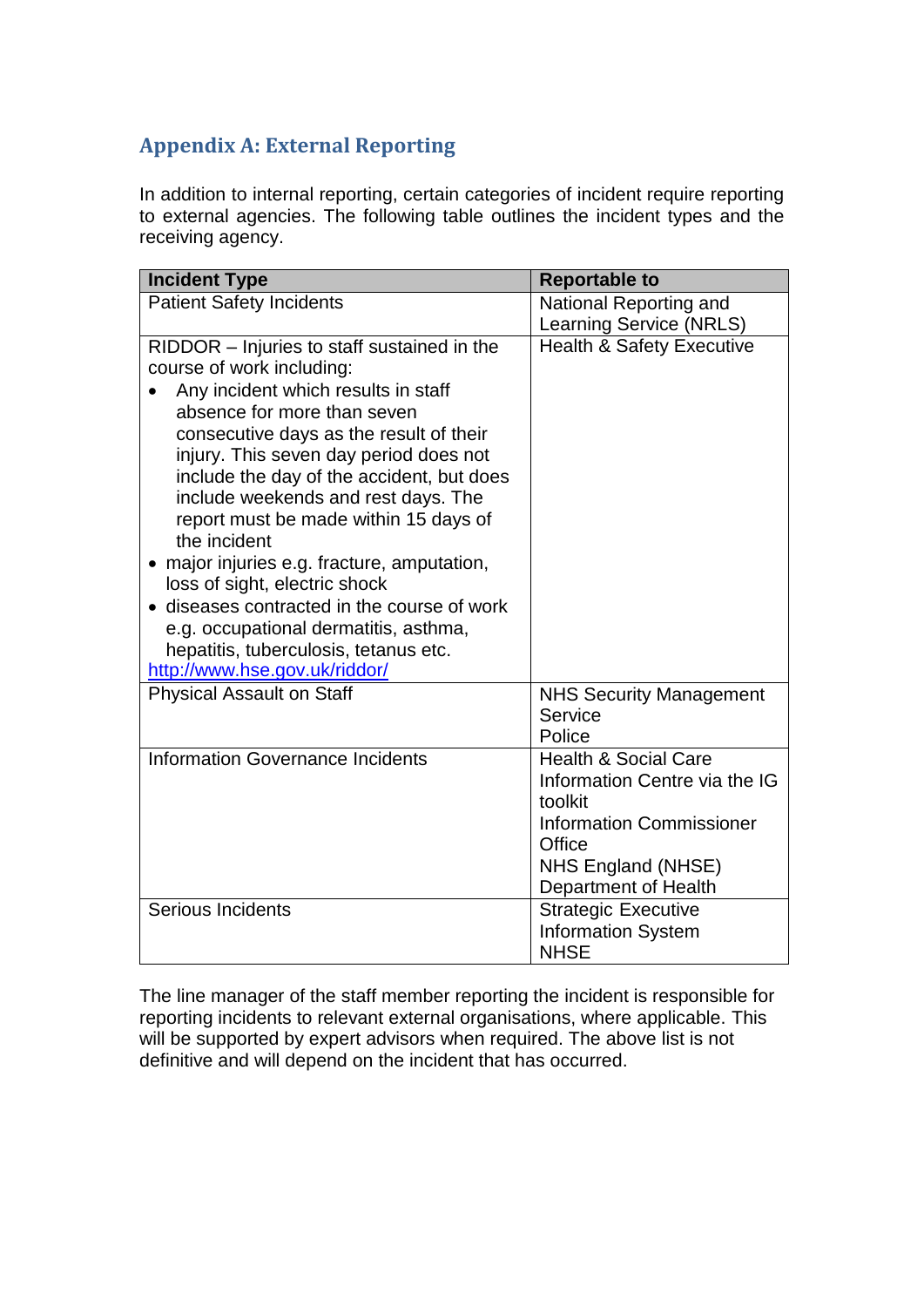# <span id="page-16-0"></span>**Appendix A: External Reporting**

In addition to internal reporting, certain categories of incident require reporting to external agencies. The following table outlines the incident types and the receiving agency.

| <b>Incident Type</b>                                                             | <b>Reportable to</b>                       |
|----------------------------------------------------------------------------------|--------------------------------------------|
| <b>Patient Safety Incidents</b>                                                  | National Reporting and                     |
|                                                                                  | Learning Service (NRLS)                    |
| RIDDOR – Injuries to staff sustained in the                                      | <b>Health &amp; Safety Executive</b>       |
| course of work including:                                                        |                                            |
| Any incident which results in staff                                              |                                            |
| absence for more than seven                                                      |                                            |
| consecutive days as the result of their                                          |                                            |
| injury. This seven day period does not                                           |                                            |
| include the day of the accident, but does<br>include weekends and rest days. The |                                            |
| report must be made within 15 days of                                            |                                            |
| the incident                                                                     |                                            |
| • major injuries e.g. fracture, amputation,                                      |                                            |
| loss of sight, electric shock                                                    |                                            |
| • diseases contracted in the course of work                                      |                                            |
| e.g. occupational dermatitis, asthma,                                            |                                            |
| hepatitis, tuberculosis, tetanus etc.                                            |                                            |
| http://www.hse.gov.uk/riddor/                                                    |                                            |
| <b>Physical Assault on Staff</b>                                                 | <b>NHS Security Management</b>             |
|                                                                                  | Service                                    |
|                                                                                  | Police                                     |
| Information Governance Incidents                                                 | <b>Health &amp; Social Care</b>            |
|                                                                                  | Information Centre via the IG              |
|                                                                                  | toolkit                                    |
|                                                                                  | <b>Information Commissioner</b>            |
|                                                                                  | Office                                     |
|                                                                                  | NHS England (NHSE)<br>Department of Health |
| Serious Incidents                                                                | <b>Strategic Executive</b>                 |
|                                                                                  | <b>Information System</b>                  |
|                                                                                  | <b>NHSE</b>                                |

The line manager of the staff member reporting the incident is responsible for reporting incidents to relevant external organisations, where applicable. This will be supported by expert advisors when required. The above list is not definitive and will depend on the incident that has occurred.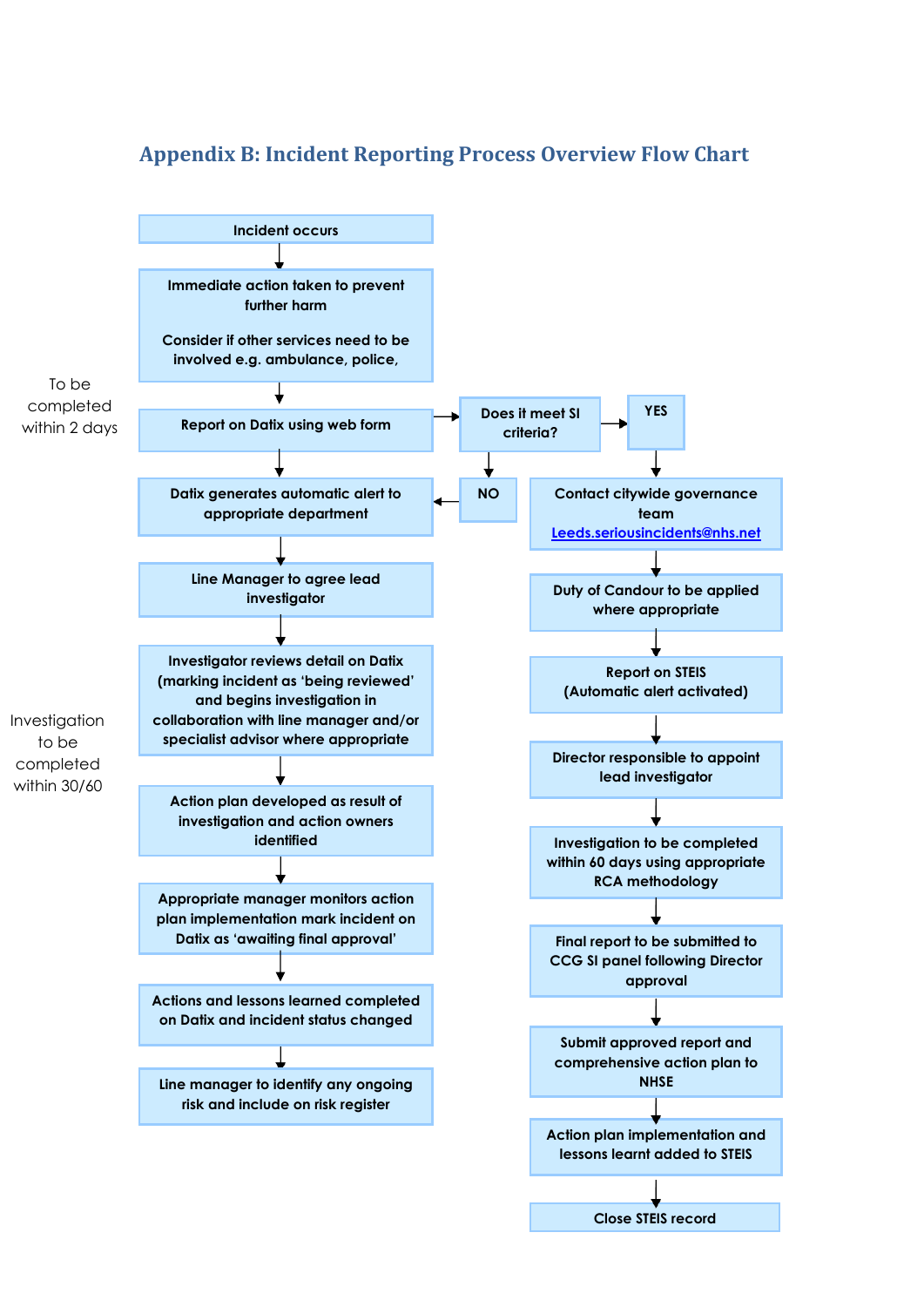<span id="page-17-0"></span>

### **Appendix B: Incident Reporting Process Overview Flow Chart**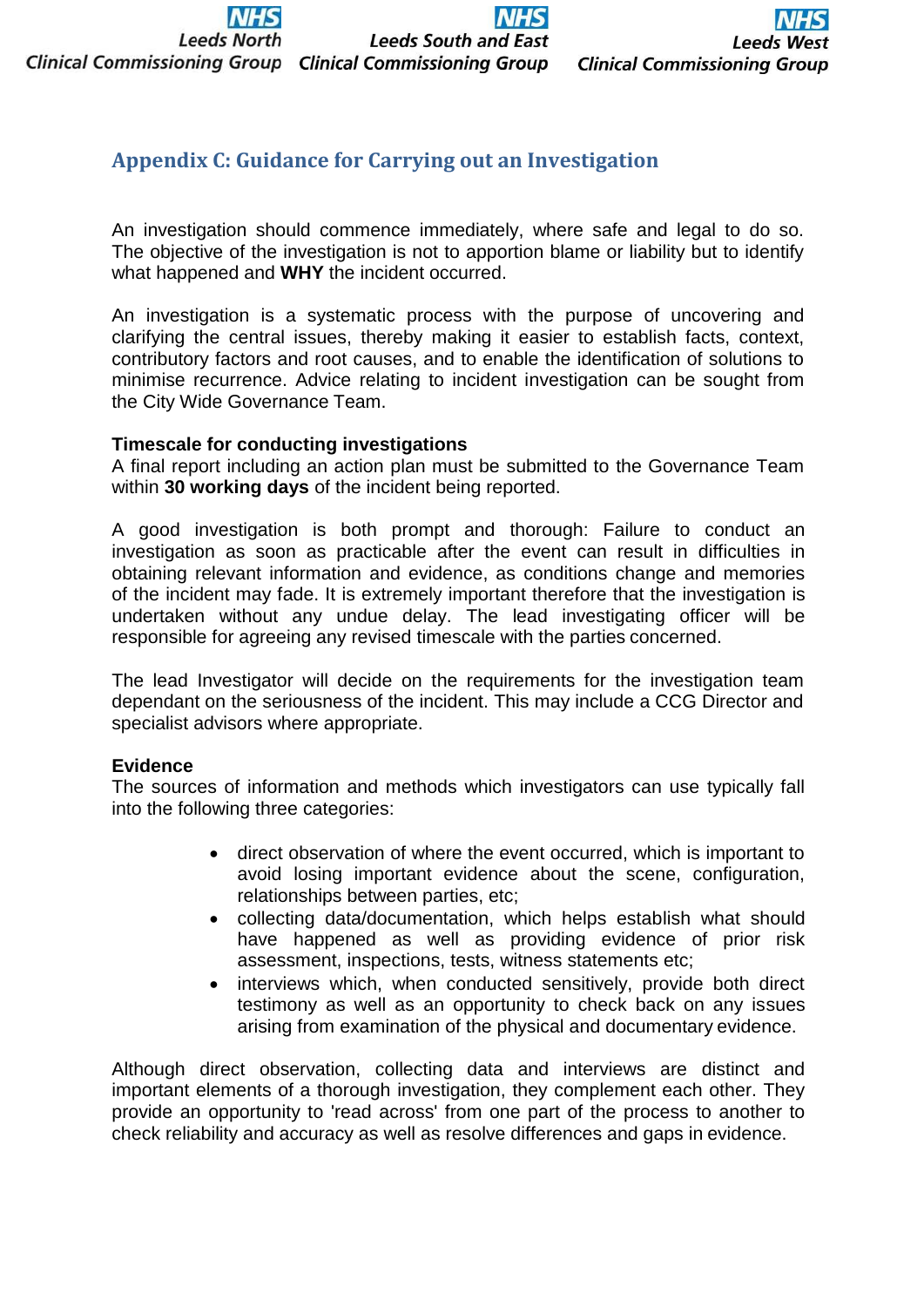**Leeds North Clinical Commissioning Group Clinical Commissioning Group** 

# <span id="page-18-0"></span>**Appendix C: Guidance for Carrying out an Investigation**

An investigation should commence immediately, where safe and legal to do so. The objective of the investigation is not to apportion blame or liability but to identify what happened and **WHY** the incident occurred.

An investigation is a systematic process with the purpose of uncovering and clarifying the central issues, thereby making it easier to establish facts, context, contributory factors and root causes, and to enable the identification of solutions to minimise recurrence. Advice relating to incident investigation can be sought from the City Wide Governance Team.

### **Timescale for conducting investigations**

A final report including an action plan must be submitted to the Governance Team within **30 working days** of the incident being reported.

A good investigation is both prompt and thorough: Failure to conduct an investigation as soon as practicable after the event can result in difficulties in obtaining relevant information and evidence, as conditions change and memories of the incident may fade. It is extremely important therefore that the investigation is undertaken without any undue delay. The lead investigating officer will be responsible for agreeing any revised timescale with the parties concerned.

The lead Investigator will decide on the requirements for the investigation team dependant on the seriousness of the incident. This may include a CCG Director and specialist advisors where appropriate.

### **Evidence**

The sources of information and methods which investigators can use typically fall into the following three categories:

- direct observation of where the event occurred, which is important to avoid losing important evidence about the scene, configuration, relationships between parties, etc;
- collecting data/documentation, which helps establish what should have happened as well as providing evidence of prior risk assessment, inspections, tests, witness statements etc;
- interviews which, when conducted sensitively, provide both direct testimony as well as an opportunity to check back on any issues arising from examination of the physical and documentary evidence.

Although direct observation, collecting data and interviews are distinct and important elements of a thorough investigation, they complement each other. They provide an opportunity to 'read across' from one part of the process to another to check reliability and accuracy as well as resolve differences and gaps in evidence.